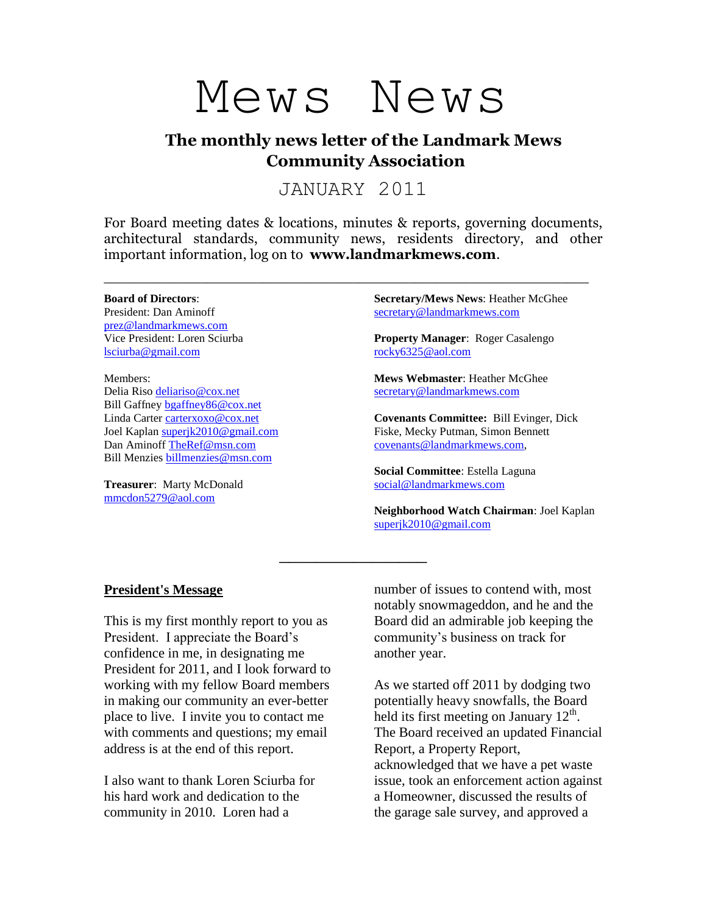# Mews News

# **The monthly news letter of the Landmark Mews Community Association**

JANUARY 2011

For Board meeting dates & locations, minutes & reports, governing documents, architectural standards, community news, residents directory, and other important information, log on to **www.landmarkmews.com**.

\_\_\_\_\_\_\_\_\_\_\_\_\_\_\_\_\_\_\_\_\_\_\_\_\_\_\_\_\_\_\_\_\_\_\_\_\_\_\_\_\_\_\_\_\_\_\_\_\_\_\_\_\_\_\_\_\_\_\_\_\_\_\_\_\_\_\_\_\_\_

\_\_\_\_\_\_\_\_\_\_\_\_\_\_\_\_

#### **Board of Directors**:

President: Dan Aminoff [prez@landmarkmews.com](file:///C:/Documents%20and%20Settings/hmcghee/Local%20Settings/Temporary%20Internet%20Files/Content.IE5/C7SWZDPL/prez@landmarkmews.com) Vice President: Loren Sciurba [lsciurba@gmail.com](file:///C:/Documents%20and%20Settings/hmcghee/Local%20Settings/Temporary%20Internet%20Files/Content.IE5/UJ34L0H5/lsciurba@gmail.com)

# Members: Delia Riso [deliariso@cox.net](mailto:deliariso@cox.net)

Bill Gaffney [bgaffney86@cox.net](mailto:bgaffney86@cox.net) Linda Carter [carterxoxo@cox.net](mailto:carterxoxo@cox.net) Joel Kaplan [superjk2010@gmail.com](mailto:superjk2010@gmail.com) Dan Aminoff [TheRef@msn.com](mailto:TheRef@msn.com) Bill Menzies [billmenzies@msn.com](file:///D:/Mews%20News/billmenzies@msn.com)

**Treasurer**: Marty McDonald [mmcdon5279@aol.com](mailto:mmcdon5279@aol.com)

**Secretary/Mews News**: Heather McGhee [secretary@landmarkmews.com](mailto:secretary@landmarkmews.com)

**Property Manager**: Roger Casalengo [rocky6325@aol.com](mailto:rocky6325@aol.com)

**Mews Webmaster**: Heather McGhee [secretary@landmarkmews.com](mailto:secretary@landmarkmews.com)

**Covenants Committee:** Bill Evinger, Dick Fiske, Mecky Putman, Simon Bennett [covenants@landmarkmews.com,](file:///C:/Documents%20and%20Settings/hmcghee/Local%20Settings/Temporary%20Internet%20Files/Content.IE5/C7SWZDPL/covenants@landmarkmews.com)

**Social Committee**: Estella Laguna [social@landmarkmews.com](mailto:social@landmarkmews.com)

**Neighborhood Watch Chairman**: Joel Kaplan [superjk2010@gmail.com](mailto:superjk2010@gmail.com)

#### **President's Message**

This is my first monthly report to you as President. I appreciate the Board's confidence in me, in designating me President for 2011, and I look forward to working with my fellow Board members in making our community an ever-better place to live. I invite you to contact me with comments and questions; my email address is at the end of this report.

I also want to thank Loren Sciurba for his hard work and dedication to the community in 2010. Loren had a

number of issues to contend with, most notably snowmageddon, and he and the Board did an admirable job keeping the community's business on track for another year.

As we started off 2011 by dodging two potentially heavy snowfalls, the Board held its first meeting on January  $12<sup>th</sup>$ . The Board received an updated Financial Report, a Property Report, acknowledged that we have a pet waste issue, took an enforcement action against a Homeowner, discussed the results of the garage sale survey, and approved a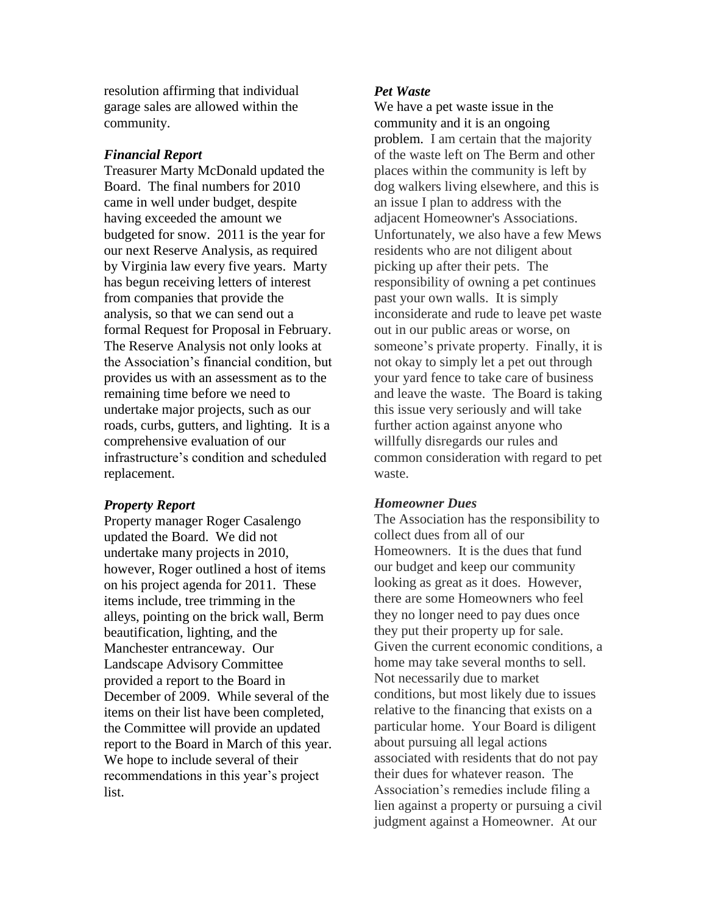resolution affirming that individual garage sales are allowed within the community.

#### *Financial Report*

Treasurer Marty McDonald updated the Board. The final numbers for 2010 came in well under budget, despite having exceeded the amount we budgeted for snow. 2011 is the year for our next Reserve Analysis, as required by Virginia law every five years. Marty has begun receiving letters of interest from companies that provide the analysis, so that we can send out a formal Request for Proposal in February. The Reserve Analysis not only looks at the Association's financial condition, but provides us with an assessment as to the remaining time before we need to undertake major projects, such as our roads, curbs, gutters, and lighting. It is a comprehensive evaluation of our infrastructure's condition and scheduled replacement.

#### *Property Report*

Property manager Roger Casalengo updated the Board. We did not undertake many projects in 2010, however, Roger outlined a host of items on his project agenda for 2011. These items include, tree trimming in the alleys, pointing on the brick wall, Berm beautification, lighting, and the Manchester entranceway. Our Landscape Advisory Committee provided a report to the Board in December of 2009. While several of the items on their list have been completed, the Committee will provide an updated report to the Board in March of this year. We hope to include several of their recommendations in this year's project list.

#### *Pet Waste*

We have a pet waste issue in the community and it is an ongoing problem. I am certain that the majority of the waste left on The Berm and other places within the community is left by dog walkers living elsewhere, and this is an issue I plan to address with the adjacent Homeowner's Associations. Unfortunately, we also have a few Mews residents who are not diligent about picking up after their pets. The responsibility of owning a pet continues past your own walls. It is simply inconsiderate and rude to leave pet waste out in our public areas or worse, on someone's private property. Finally, it is not okay to simply let a pet out through your yard fence to take care of business and leave the waste. The Board is taking this issue very seriously and will take further action against anyone who willfully disregards our rules and common consideration with regard to pet waste.

#### *Homeowner Dues*

The Association has the responsibility to collect dues from all of our Homeowners. It is the dues that fund our budget and keep our community looking as great as it does. However, there are some Homeowners who feel they no longer need to pay dues once they put their property up for sale. Given the current economic conditions, a home may take several months to sell. Not necessarily due to market conditions, but most likely due to issues relative to the financing that exists on a particular home. Your Board is diligent about pursuing all legal actions associated with residents that do not pay their dues for whatever reason. The Association's remedies include filing a lien against a property or pursuing a civil judgment against a Homeowner. At our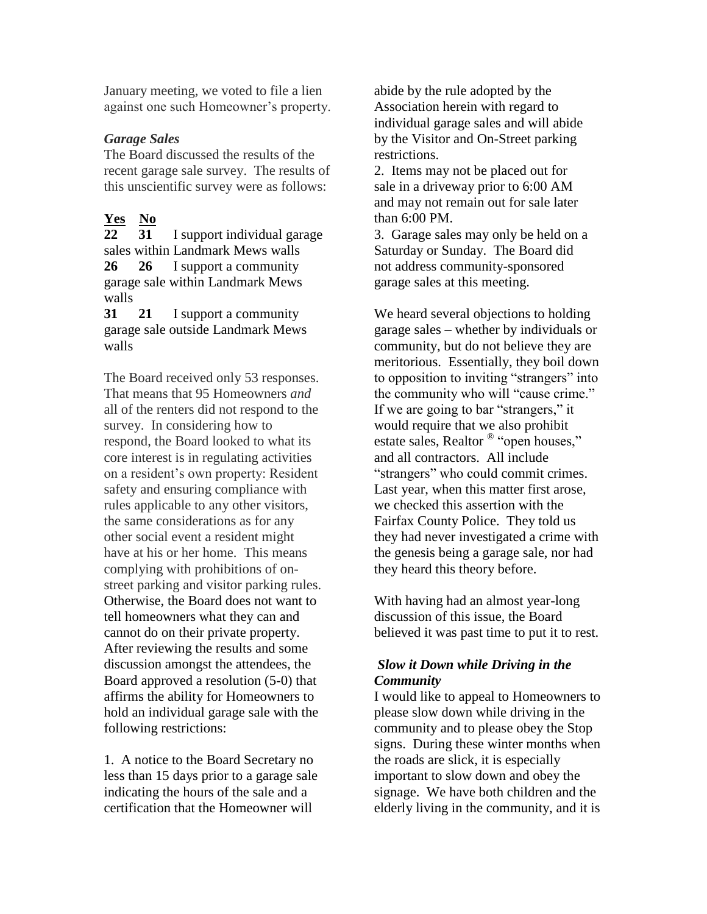January meeting, we voted to file a lien against one such Homeowner's property.

#### *Garage Sales*

The Board discussed the results of the recent garage sale survey. The results of this unscientific survey were as follows:

# **Yes No**

**22 31** I support individual garage sales within Landmark Mews walls **26 26** I support a community garage sale within Landmark Mews walls

**31 21** I support a community garage sale outside Landmark Mews walls

The Board received only 53 responses. That means that 95 Homeowners *and* all of the renters did not respond to the survey. In considering how to respond, the Board looked to what its core interest is in regulating activities on a resident's own property: Resident safety and ensuring compliance with rules applicable to any other visitors, the same considerations as for any other social event a resident might have at his or her home. This means complying with prohibitions of onstreet parking and visitor parking rules. Otherwise, the Board does not want to tell homeowners what they can and cannot do on their private property. After reviewing the results and some discussion amongst the attendees, the Board approved a resolution (5-0) that affirms the ability for Homeowners to hold an individual garage sale with the following restrictions:

1. A notice to the Board Secretary no less than 15 days prior to a garage sale indicating the hours of the sale and a certification that the Homeowner will

abide by the rule adopted by the Association herein with regard to individual garage sales and will abide by the Visitor and On-Street parking restrictions.

2. Items may not be placed out for sale in a driveway prior to 6:00 AM and may not remain out for sale later than 6:00 PM.

3. Garage sales may only be held on a Saturday or Sunday. The Board did not address community-sponsored garage sales at this meeting.

We heard several objections to holding garage sales – whether by individuals or community, but do not believe they are meritorious. Essentially, they boil down to opposition to inviting "strangers" into the community who will "cause crime." If we are going to bar "strangers," it would require that we also prohibit estate sales, Realtor ® "open houses," and all contractors. All include "strangers" who could commit crimes. Last year, when this matter first arose, we checked this assertion with the Fairfax County Police. They told us they had never investigated a crime with the genesis being a garage sale, nor had they heard this theory before.

With having had an almost year-long discussion of this issue, the Board believed it was past time to put it to rest.

## *Slow it Down while Driving in the Community*

I would like to appeal to Homeowners to please slow down while driving in the community and to please obey the Stop signs. During these winter months when the roads are slick, it is especially important to slow down and obey the signage. We have both children and the elderly living in the community, and it is